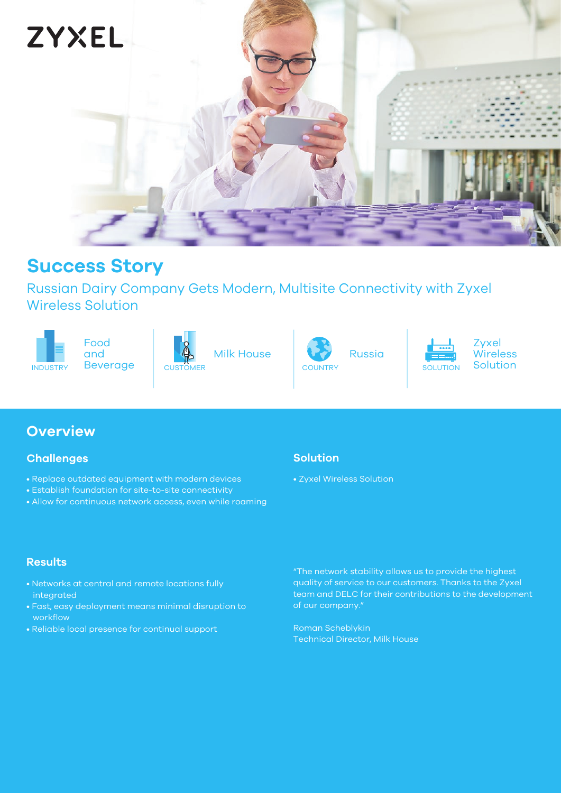

## **Success Story**

and

Russian Dairy Company Gets Modern, Multisite Connectivity with Zyxel Wireless Solution





Milk House



Russia



Zyxel Wireless<br>Solution

## **Overview**

### **Challenges**

- Replace outdated equipment with modern devices
- Establish foundation for site-to-site connectivity
- Allow for continuous network access, even while roaming

## **Solution**

• Zyxel Wireless Solution

### **Results**

- Networks at central and remote locations fully integrated
- Fast, easy deployment means minimal disruption to workflow
- Reliable local presence for continual support

"The network stability allows us to provide the highest quality of service to our customers. Thanks to the Zyxel team and DELC for their contributions to the development of our company."

Roman Scheblykin Technical Director, Milk House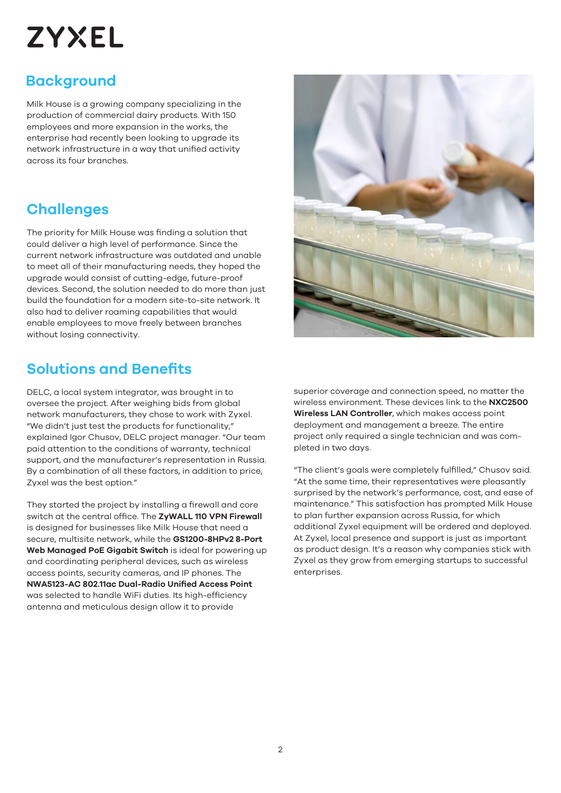# **ZYXEL**

## **Background**

Milk House is a growing company specializing in the production of commercial dairy products. With 150 employees and more expansion in the works, the enterprise had recently been looking to upgrade its network infrastructure in a way that unified activity across its four branches.

## **Challenges**

The priority for Milk House was finding a solution that could deliver a high level of performance. Since the current network infrastructure was outdated and unable to meet all of their manufacturing needs, they hoped the upgrade would consist of cutting-edge, future-proof devices. Second, the solution needed to do more than just build the foundation for a modern site-to-site network. It also had to deliver roaming capabilities that would enable employees to move freely between branches without losing connectivity.

## **Solutions and Benefits**

DELC, a local system integrator, was brought in to oversee the project. After weighing bids from global network manufacturers, they chose to work with Zyxel. "We didn't just test the products for functionality," explained Igor Chusov, DELC project manager. "Our team paid attention to the conditions of warranty, technical support, and the manufacturer's representation in Russia. By a combination of all these factors, in addition to price, Zyxel was the best option."

They started the project by installing a firewall and core switch at the central office. The **ZyWALL 110 VPN Firewall**  is designed for businesses like Milk House that need a secure, multisite network, while the **GS1200-8HPv2 8-Port Web Managed PoE Gigabit Switch** is ideal for powering up and coordinating peripheral devices, such as wireless access points, security cameras, and IP phones. The **NWA5123-AC 802.11ac Dual-Radio Unified Access Point** was selected to handle WiFi duties. Its high-efficiency antenna and meticulous design allow it to provide



superior coverage and connection speed, no matter the wireless environment. These devices link to the **NXC2500 Wireless LAN Controller**, which makes access point deployment and management a breeze. The entire project only required a single technician and was completed in two days.

"The client's goals were completely fulfilled," Chusov said. "At the same time, their representatives were pleasantly surprised by the network's performance, cost, and ease of maintenance." This satisfaction has prompted Milk House to plan further expansion across Russia, for which additional Zyxel equipment will be ordered and deployed. At Zyxel, local presence and support is just as important as product design. It's a reason why companies stick with Zyxel as they grow from emerging startups to successful enterprises.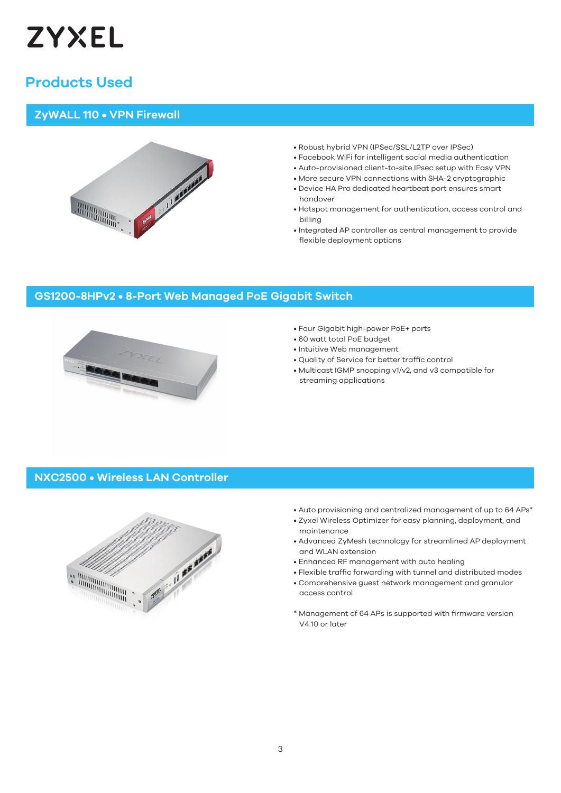

## **Products Used**

#### **ZyWALL 110 • VPN Firewall**



- Robust hybrid VPN (IPSec/SSL/L2TP over IPSec)
- Facebook WiFi for intelligent social media authentication
- Auto-provisioned client-to-site IPsec setup with Easy VPN
- More secure VPN connections with SHA-2 cryptographic
- Device HA Pro dedicated heartbeat port ensures smart handover
- Hotspot management for authentication, access control and billing
- Integrated AP controller as central management to provide flexible deployment options

#### **XGS3700-48HP • 48-port Gigabit L2+ Managed PoE Switch with 10G Uplink GS1200-8HPv2 • 8-Port Web Managed PoE Gigabit Switch**



- Four Gigabit high-power PoE+ ports
- 60 watt total PoE budget
- Intuitive Web management
- Quality of Service for better traffic control
- Multicast IGMP snooping v1/v2, and v3 compatible for streaming applications

#### **NXC2500 • Wireless LAN Controller**



- Auto provisioning and centralized management of up to 64 APs\*
- Zyxel Wireless Optimizer for easy planning, deployment, and maintenance
- Advanced ZyMesh technology for streamlined AP deployment and WLAN extension
- Enhanced RF management with auto healing
- Flexible traffic forwarding with tunnel and distributed modes • Comprehensive guest network management and granular
- access control
- \* Management of 64 APs is supported with firmware version V4.10 or later